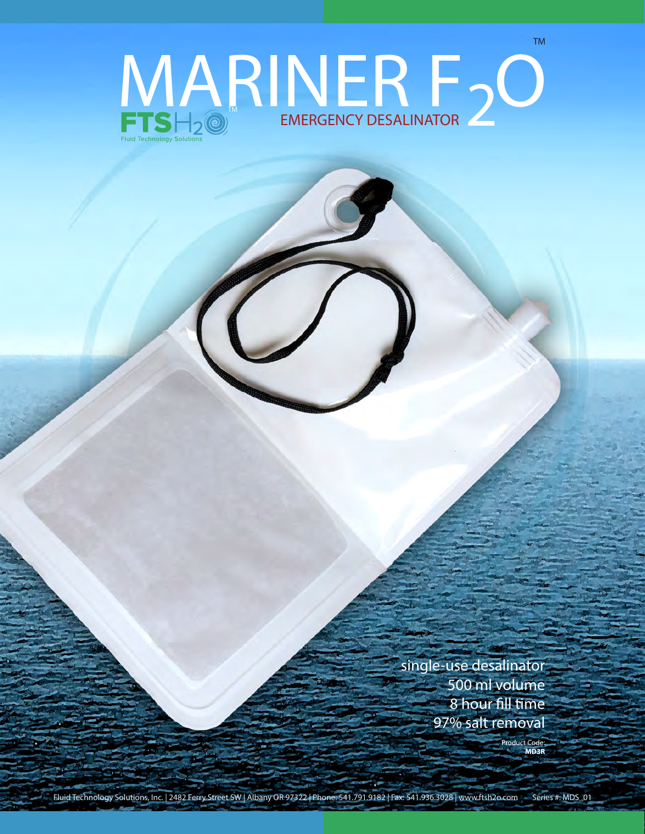## EMERGENCY DESALINATOR MARINER F20

single-use desalinator 500 ml volume 8 hour fill time 97% salt removal

> Product Code: **MD3R**

TM